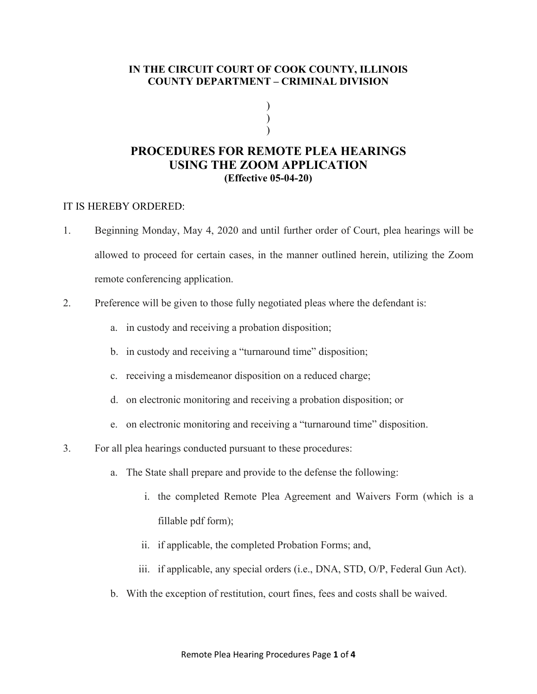## **IN THE CIRCUIT COURT OF COOK COUNTY, ILLINOIS COUNTY DEPARTMENT – CRIMINAL DIVISION**

) ) )

## **PROCEDURES FOR REMOTE PLEA HEARINGS USING THE ZOOM APPLICATION (Effective 05-04-20)**

## IT IS HEREBY ORDERED:

- 1. Beginning Monday, May 4, 2020 and until further order of Court, plea hearings will be allowed to proceed for certain cases, in the manner outlined herein, utilizing the Zoom remote conferencing application.
- 2. Preference will be given to those fully negotiated pleas where the defendant is:
	- a. in custody and receiving a probation disposition;
	- b. in custody and receiving a "turnaround time" disposition;
	- c. receiving a misdemeanor disposition on a reduced charge;
	- d. on electronic monitoring and receiving a probation disposition; or
	- e. on electronic monitoring and receiving a "turnaround time" disposition.
- 3. For all plea hearings conducted pursuant to these procedures:
	- a. The State shall prepare and provide to the defense the following:
		- i. the completed Remote Plea Agreement and Waivers Form (which is a fillable pdf form);
		- ii. if applicable, the completed Probation Forms; and,
		- iii. if applicable, any special orders (i.e., DNA, STD, O/P, Federal Gun Act).
	- b. With the exception of restitution, court fines, fees and costs shall be waived.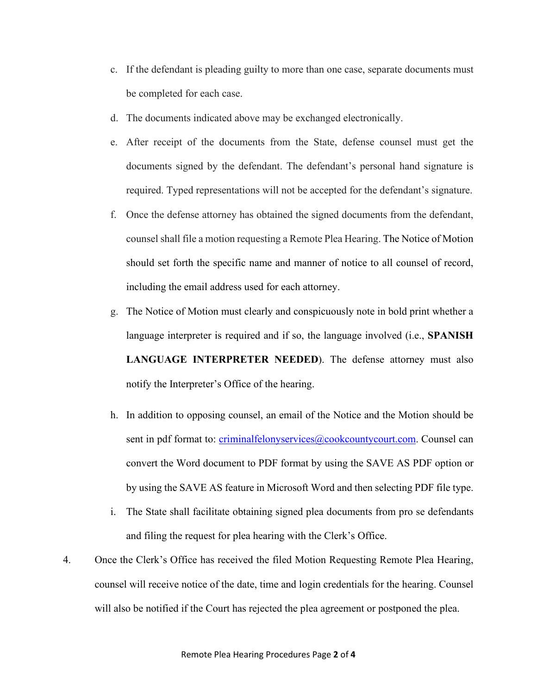- c. If the defendant is pleading guilty to more than one case, separate documents must be completed for each case.
- d. The documents indicated above may be exchanged electronically.
- e. After receipt of the documents from the State, defense counsel must get the documents signed by the defendant. The defendant's personal hand signature is required. Typed representations will not be accepted for the defendant's signature.
- f. Once the defense attorney has obtained the signed documents from the defendant, counsel shall file a motion requesting a Remote Plea Hearing. The Notice of Motion should set forth the specific name and manner of notice to all counsel of record, including the email address used for each attorney.
- g. The Notice of Motion must clearly and conspicuously note in bold print whether a language interpreter is required and if so, the language involved (i.e., **SPANISH LANGUAGE INTERPRETER NEEDED**). The defense attorney must also notify the Interpreter's Office of the hearing.
- h. In addition to opposing counsel, an email of the Notice and the Motion should be sent in pdf format to: [criminalfelonyservices@cookcountycourt.com.](mailto:criminalfelonyservices@cookcountycourt.com) Counsel can convert the Word document to PDF format by using the SAVE AS PDF option or by using the SAVE AS feature in Microsoft Word and then selecting PDF file type.
- i. The State shall facilitate obtaining signed plea documents from pro se defendants and filing the request for plea hearing with the Clerk's Office.
- 4. Once the Clerk's Office has received the filed Motion Requesting Remote Plea Hearing, counsel will receive notice of the date, time and login credentials for the hearing. Counsel will also be notified if the Court has rejected the plea agreement or postponed the plea.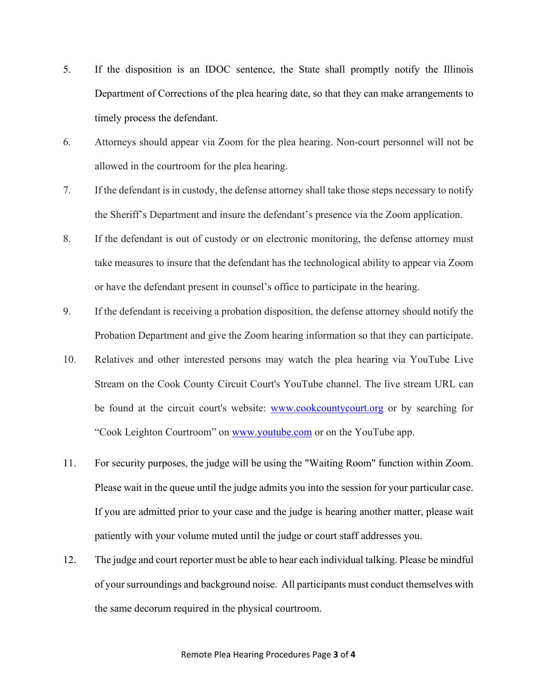- 5. If the disposition is an IDOC sentence, the State shall promptly notify the Illinois Department of Corrections of the plea hearing date, so that they can make arrangements to timely process the defendant.
- 6. Attorneys should appear via Zoom for the plea hearing. Non-court personnel will not be allowed in the courtroom for the plea hearing.
- 7. If the defendant is in custody, the defense attorney shall take those steps necessary to notify the Sheriff's Department and insure the defendant's presence via the Zoom application.
- 8. If the defendant is out of custody or on electronic monitoring, the defense attorney must take measures to insure that the defendant has the technological ability to appear via Zoom or have the defendant present in counsel's office to participate in the hearing.
- 9. If the defendant is receiving a probation disposition, the defense attorney should notify the Probation Department and give the Zoom hearing information so that they can participate.
- 10. Relatives and other interested persons may watch the plea hearing via YouTube Live Stream on the Cook County Circuit Court's YouTube channel. The live stream URL can be found at the circuit court's website: [www.cookcountycourt.org](http://www.cookcountycourt.org/) or by searching for "Cook Leighton Courtroom" on [www.youtube.com](http://www.youtube.com/) or on the YouTube app.
- 11. For security purposes, the judge will be using the "Waiting Room" function within Zoom. Please wait in the queue until the judge admits you into the session for your particular case. If you are admitted prior to your case and the judge is hearing another matter, please wait patiently with your volume muted until the judge or court staff addresses you.
- 12. The judge and court reporter must be able to hear each individual talking. Please be mindful of your surroundings and background noise. All participants must conduct themselves with the same decorum required in the physical courtroom.